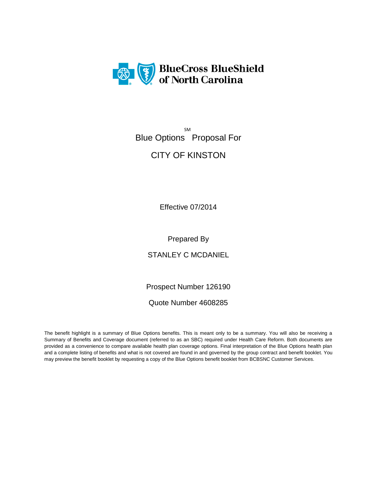

 SM Blue Options Proposal For

# CITY OF KINSTON

Effective 07/2014

Prepared By

STANLEY C MCDANIEL

Prospect Number 126190

Quote Number 4608285

The benefit highlight is a summary of Blue Options benefits. This is meant only to be a summary. You will also be receiving a Summary of Benefits and Coverage document (referred to as an SBC) required under Health Care Reform. Both documents are provided as a convenience to compare available health plan coverage options. Final interpretation of the Blue Options health plan and a complete listing of benefits and what is not covered are found in and governed by the group contract and benefit booklet. You may preview the benefit booklet by requesting a copy of the Blue Options benefit booklet from BCBSNC Customer Services.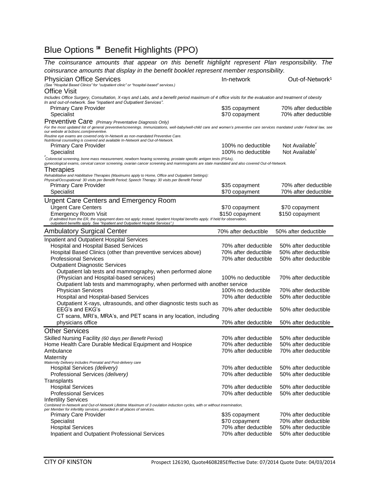## Blue Options ℠ Benefit Highlights (PPO)

| The coinsurance amounts that appear on this benefit highlight represent Plan responsibility. The                                                                                                                                                                                                                                                                                                                                                |                                            |                                              |  |
|-------------------------------------------------------------------------------------------------------------------------------------------------------------------------------------------------------------------------------------------------------------------------------------------------------------------------------------------------------------------------------------------------------------------------------------------------|--------------------------------------------|----------------------------------------------|--|
| coinsurance amounts that display in the benefit booklet represent member responsibility.                                                                                                                                                                                                                                                                                                                                                        |                                            |                                              |  |
| <b>Physician Office Services</b><br>(See "Hospital Based Clinics" for "outpatient clinic" or "hospital-based" services.)<br><b>Office Visit</b>                                                                                                                                                                                                                                                                                                 | In-network                                 | Out-of-Network <sup>1</sup>                  |  |
| Includes Office Surgery, Consultation, X-rays and Labs, and a benefit period maximum of 4 office visits for the evaluation and treatment of obesity<br>In and out-of-network. See "inpatient and Outpatient Services".                                                                                                                                                                                                                          |                                            |                                              |  |
| <b>Primary Care Provider</b>                                                                                                                                                                                                                                                                                                                                                                                                                    | \$35 copayment                             | 70% after deductible                         |  |
| Specialist                                                                                                                                                                                                                                                                                                                                                                                                                                      | \$70 copayment                             | 70% after deductible                         |  |
| Preventive Care (Primary Preventative Diagnosis Only)<br>For the most updated list of general preventive/screenings. Immunizations, well-baby/well-child care and women's preventive care services mandated under Federal law, see<br>our website at bcbsnc.com/preventive.<br>Routine eye exams are covered only In-Network as non-mandated Preventive Care.<br>Nutritional counseling is covered and available In-Network and Out-of-Network. |                                            |                                              |  |
| <b>Primary Care Provider</b>                                                                                                                                                                                                                                                                                                                                                                                                                    | 100% no deductible                         | Not Available <sup>®</sup>                   |  |
| Specialist<br>$\boldsymbol{\xi}$                                                                                                                                                                                                                                                                                                                                                                                                                | 100% no deductible                         | Not Available <sup>®</sup>                   |  |
| Colorectal screening, bone mass measurement, newborn hearing screening, prostate specific antigen tests (PSAs),<br>gynecological exams, cervical cancer screening, ovarian cancer screening and mammograms are state mandated and also covered Out-of-Network.<br>Therapies                                                                                                                                                                     |                                            |                                              |  |
| Rehabilitative and Habilitative Therapies (Maximums apply to Home, Office and Outpatient Settings):                                                                                                                                                                                                                                                                                                                                             |                                            |                                              |  |
| Physical/Occupational: 30 visits per Benefit Period; Speech Therapy: 30 visits per Benefit Period                                                                                                                                                                                                                                                                                                                                               |                                            | 70% after deductible                         |  |
| <b>Primary Care Provider</b><br>Specialist                                                                                                                                                                                                                                                                                                                                                                                                      | \$35 copayment<br>\$70 copayment           | 70% after deductible                         |  |
|                                                                                                                                                                                                                                                                                                                                                                                                                                                 |                                            |                                              |  |
| <b>Urgent Care Centers and Emergency Room</b>                                                                                                                                                                                                                                                                                                                                                                                                   |                                            |                                              |  |
| <b>Urgent Care Centers</b>                                                                                                                                                                                                                                                                                                                                                                                                                      | \$70 copayment                             | \$70 copayment                               |  |
| <b>Emergency Room Visit</b><br>(if admitted from the ER, the copayment does not apply; instead, Inpatient Hospital benefits apply. If held for observation,                                                                                                                                                                                                                                                                                     | \$150 copayment                            | \$150 copayment                              |  |
| outpatient benefits apply. See "Inpatient and Outpatient Hospital Services".                                                                                                                                                                                                                                                                                                                                                                    |                                            |                                              |  |
| <b>Ambulatory Surgical Center</b>                                                                                                                                                                                                                                                                                                                                                                                                               | 70% after deductible                       | 50% after deductible                         |  |
| Inpatient and Outpatient Hospital Services                                                                                                                                                                                                                                                                                                                                                                                                      |                                            |                                              |  |
| <b>Hospital and Hospital Based Services</b>                                                                                                                                                                                                                                                                                                                                                                                                     | 70% after deductible                       | 50% after deductible                         |  |
| Hospital Based Clinics (other than preventive services above)                                                                                                                                                                                                                                                                                                                                                                                   | 70% after deductible                       | 50% after deductible                         |  |
| <b>Professional Services</b>                                                                                                                                                                                                                                                                                                                                                                                                                    | 70% after deductible                       | 50% after deductible                         |  |
| <b>Outpatient Diagnostic Services</b>                                                                                                                                                                                                                                                                                                                                                                                                           |                                            |                                              |  |
| Outpatient lab tests and mammography, when performed alone                                                                                                                                                                                                                                                                                                                                                                                      |                                            |                                              |  |
| (Physician and Hospital-based services)                                                                                                                                                                                                                                                                                                                                                                                                         | 100% no deductible                         | 70% after deductible                         |  |
| Outpatient lab tests and mammography, when performed with another service                                                                                                                                                                                                                                                                                                                                                                       |                                            |                                              |  |
| <b>Physician Services</b>                                                                                                                                                                                                                                                                                                                                                                                                                       | 100% no deductible<br>70% after deductible | 70% after deductible<br>50% after deductible |  |
| Hospital and Hospital-based Services<br>Outpatient X-rays, ultrasounds, and other diagnostic tests such as                                                                                                                                                                                                                                                                                                                                      |                                            |                                              |  |
| EEG's and EKG's                                                                                                                                                                                                                                                                                                                                                                                                                                 | 70% after deductible                       | 50% after deductible                         |  |
| CT scans, MRI's, MRA's, and PET scans in any location, including                                                                                                                                                                                                                                                                                                                                                                                |                                            |                                              |  |
| physicians office                                                                                                                                                                                                                                                                                                                                                                                                                               | 70% after deductible                       | 50% after deductible                         |  |
| <b>Other Services</b>                                                                                                                                                                                                                                                                                                                                                                                                                           |                                            |                                              |  |
| Skilled Nursing Facility (60 days per Benefit Period)                                                                                                                                                                                                                                                                                                                                                                                           | 70% after deductible                       | 50% after deductible                         |  |
| Home Health Care Durable Medical Equipment and Hospice                                                                                                                                                                                                                                                                                                                                                                                          | 70% after deductible                       | 50% after deductible                         |  |
| Ambulance                                                                                                                                                                                                                                                                                                                                                                                                                                       | 70% after deductible                       | 70% after deductible                         |  |
| Maternity                                                                                                                                                                                                                                                                                                                                                                                                                                       |                                            |                                              |  |
| Maternity Delivery includes Prenatal and Post-delivery care                                                                                                                                                                                                                                                                                                                                                                                     | 70% after deductible                       | 50% after deductible                         |  |
| Hospital Services (delivery)<br>Professional Services (delivery)                                                                                                                                                                                                                                                                                                                                                                                | 70% after deductible                       | 50% after deductible                         |  |
| Transplants                                                                                                                                                                                                                                                                                                                                                                                                                                     |                                            |                                              |  |
| <b>Hospital Services</b>                                                                                                                                                                                                                                                                                                                                                                                                                        | 70% after deductible                       | 50% after deductible                         |  |
| <b>Professional Services</b>                                                                                                                                                                                                                                                                                                                                                                                                                    | 70% after deductible                       | 50% after deductible                         |  |
| <b>Infertility Services</b>                                                                                                                                                                                                                                                                                                                                                                                                                     |                                            |                                              |  |
| Combined In-Network and Out-of-Network Lifetime Maximum of 3 ovulation induction cycles, with or without insemination,<br>per Member for infertility services, provided in all places of services.                                                                                                                                                                                                                                              |                                            | 70% after deductible                         |  |
| <b>Primary Care Provider</b><br>Specialist                                                                                                                                                                                                                                                                                                                                                                                                      | \$35 copayment<br>\$70 copayment           | 70% after deductible                         |  |
| <b>Hospital Services</b>                                                                                                                                                                                                                                                                                                                                                                                                                        | 70% after deductible                       | 50% after deductible                         |  |
| Inpatient and Outpatient Professional Services                                                                                                                                                                                                                                                                                                                                                                                                  | 70% after deductible                       | 50% after deductible                         |  |
|                                                                                                                                                                                                                                                                                                                                                                                                                                                 |                                            |                                              |  |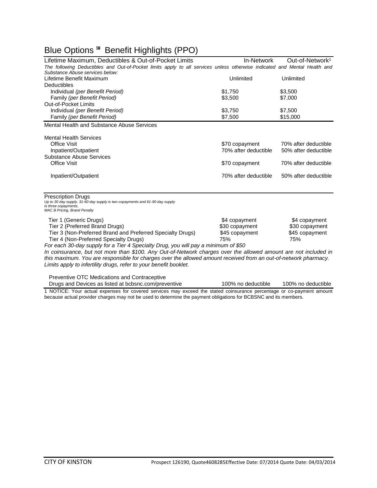# Blue Options ℠ Benefit Highlights (PPO)

| Lifetime Maximum, Deductibles & Out-of-Pocket Limits                                                                                                                                                                                                                                                                                                                                                                                                                                                                                                              | In-Network                                               | Out-of-Network <sup>1</sup>                              |
|-------------------------------------------------------------------------------------------------------------------------------------------------------------------------------------------------------------------------------------------------------------------------------------------------------------------------------------------------------------------------------------------------------------------------------------------------------------------------------------------------------------------------------------------------------------------|----------------------------------------------------------|----------------------------------------------------------|
| The following Deductibles and Out-of-Pocket limits apply to all services unless otherwise indicated and Mental Health and                                                                                                                                                                                                                                                                                                                                                                                                                                         |                                                          |                                                          |
| Substance Abuse services below:                                                                                                                                                                                                                                                                                                                                                                                                                                                                                                                                   |                                                          |                                                          |
| Lifetime Benefit Maximum                                                                                                                                                                                                                                                                                                                                                                                                                                                                                                                                          | Unlimited                                                | Unlimited                                                |
| <b>Deductibles</b>                                                                                                                                                                                                                                                                                                                                                                                                                                                                                                                                                |                                                          |                                                          |
| Individual (per Benefit Period)                                                                                                                                                                                                                                                                                                                                                                                                                                                                                                                                   | \$1,750                                                  | \$3,500                                                  |
| Family (per Benefit Period)                                                                                                                                                                                                                                                                                                                                                                                                                                                                                                                                       | \$3,500                                                  | \$7,000                                                  |
| <b>Out-of-Pocket Limits</b>                                                                                                                                                                                                                                                                                                                                                                                                                                                                                                                                       |                                                          |                                                          |
| Individual (per Benefit Period)                                                                                                                                                                                                                                                                                                                                                                                                                                                                                                                                   | \$3,750                                                  | \$7,500                                                  |
| Family (per Benefit Period)                                                                                                                                                                                                                                                                                                                                                                                                                                                                                                                                       | \$7,500                                                  | \$15,000                                                 |
| Mental Health and Substance Abuse Services                                                                                                                                                                                                                                                                                                                                                                                                                                                                                                                        |                                                          |                                                          |
| <b>Mental Health Services</b>                                                                                                                                                                                                                                                                                                                                                                                                                                                                                                                                     |                                                          |                                                          |
| Office Visit                                                                                                                                                                                                                                                                                                                                                                                                                                                                                                                                                      | \$70 copayment                                           | 70% after deductible                                     |
| Inpatient/Outpatient                                                                                                                                                                                                                                                                                                                                                                                                                                                                                                                                              | 70% after deductible                                     | 50% after deductible                                     |
| <b>Substance Abuse Services</b>                                                                                                                                                                                                                                                                                                                                                                                                                                                                                                                                   |                                                          |                                                          |
| <b>Office Visit</b>                                                                                                                                                                                                                                                                                                                                                                                                                                                                                                                                               | \$70 copayment                                           | 70% after deductible                                     |
| Inpatient/Outpatient                                                                                                                                                                                                                                                                                                                                                                                                                                                                                                                                              | 70% after deductible                                     | 50% after deductible                                     |
| <b>Prescription Drugs</b><br>Up to 30 day supply. 31-60 day supply is two copayments and 61-90 day supply<br>Is three copayments.<br><b>MAC B Pricing, Brand Penalty</b>                                                                                                                                                                                                                                                                                                                                                                                          |                                                          |                                                          |
| Tier 1 (Generic Drugs)<br>Tier 2 (Preferred Brand Drugs)<br>Tier 3 (Non-Preferred Brand and Preferred Specialty Drugs)<br>Tier 4 (Non-Preferred Specialty Drugs)<br>For each 30-day supply for a Tier 4 Specialty Drug, you will pay a minimum of \$50<br>In coinsurance, but not more than \$100. Any Out-of-Network charges over the allowed amount are not included in<br>this maximum. You are responsible for charges over the allowed amount received from an out-of-network pharmacy.<br>Limits apply to infertility drugs, refer to your benefit booklet. | \$4 copayment<br>\$30 copayment<br>\$45 copayment<br>75% | \$4 copayment<br>\$30 copayment<br>\$45 copayment<br>75% |
| Preventive OTC Medications and Contraceptive                                                                                                                                                                                                                                                                                                                                                                                                                                                                                                                      |                                                          |                                                          |

Drugs and Devices as listed at bcbsnc.com/preventive 100% no deductible 100% no deductible

1 NOTICE: Your actual expenses for covered services may exceed the stated coinsurance percentage or co-payment amount because actual provider charges may not be used to determine the payment obligations for BCBSNC and its members.